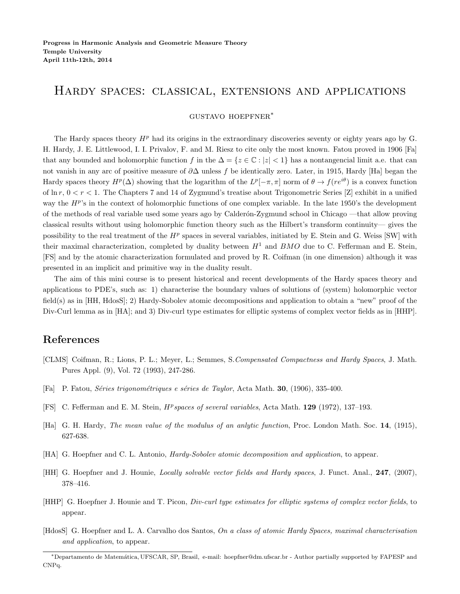## Hardy spaces: classical, extensions and applications

## gustavo hoepfner<sup>∗</sup>

The Hardy spaces theory  $H<sup>p</sup>$  had its origins in the extraordinary discoveries seventy or eighty years ago by G. H. Hardy, J. E. Littlewood, I. I. Privalov, F. and M. Riesz to cite only the most known. Fatou proved in 1906 [Fa] that any bounded and holomorphic function f in the  $\Delta = \{z \in \mathbb{C} : |z| < 1\}$  has a nontangencial limit a.e. that can not vanish in any arc of positive measure of  $\partial\Delta$  unless f be identically zero. Later, in 1915, Hardy [Ha] began the Hardy spaces theory  $H^p(\Delta)$  showing that the logarithm of the  $L^p[-\pi,\pi]$  norm of  $\theta \to f(re^{i\theta})$  is a convex function of  $\ln r$ ,  $0 < r < 1$ . The Chapters 7 and 14 of Zygmund's treatise about Trigonometric Series [Z] exhibit in a unified way the  $H^{p}$ 's in the context of holomorphic functions of one complex variable. In the late 1950's the development of the methods of real variable used some years ago by Calderón-Zygmund school in Chicago —that allow proving classical results without using holomorphic function theory such as the Hilbert's transform continuity— gives the possibility to the real treatment of the  $H^p$  spaces in several variables, initiated by E. Stein and G. Weiss [SW] with their maximal characterization, completed by duality between  $H^1$  and BMO due to C. Fefferman and E. Stein, [FS] and by the atomic characterization formulated and proved by R. Coifman (in one dimension) although it was presented in an implicit and primitive way in the duality result.

The aim of this mini course is to present historical and recent developments of the Hardy spaces theory and applications to PDE's, such as: 1) characterise the boundary values of solutions of (system) holomorphic vector field(s) as in [HH, HdosS]; 2) Hardy-Sobolev atomic decompositions and application to obtain a "new" proof of the Div-Curl lemma as in [HA]; and 3) Div-curl type estimates for elliptic systems of complex vector fields as in [HHP].

## References

- [CLMS] Coifman, R.; Lions, P. L.; Meyer, L.; Semmes, S.Compensated Compactness and Hardy Spaces, J. Math. Pures Appl. (9), Vol. 72 (1993), 247-286.
- [Fa] P. Fatou, *Séries trigonométriques e séries de Taylor*, Acta Math. **30**, (1906), 335-400.
- [FS] C. Fefferman and E. M. Stein,  $H^p$ spaces of several variables, Acta Math. 129 (1972), 137-193.
- [Ha] G. H. Hardy, The mean value of the modulus of an anlytic function, Proc. London Math. Soc. 14, (1915), 627-638.
- [HA] G. Hoepfner and C. L. Antonio, Hardy-Sobolev atomic decomposition and application, to appear.
- [HH] G. Hoepfner and J. Hounie, Locally solvable vector fields and Hardy spaces, J. Funct. Anal., 247, (2007), 378–416.
- [HHP] G. Hoepfner J. Hounie and T. Picon, Div-curl type estimates for elliptic systems of complex vector fields, to appear.
- [HdosS] G. Hoepfner and L. A. Carvalho dos Santos, On a class of atomic Hardy Spaces, maximal characterisation and application, to appear.

<sup>∗</sup>Departamento de Matem´atica, UFSCAR, SP, Brasil, e-mail: hoepfner@dm.ufscar.br - Author partially supported by FAPESP and CNPq.